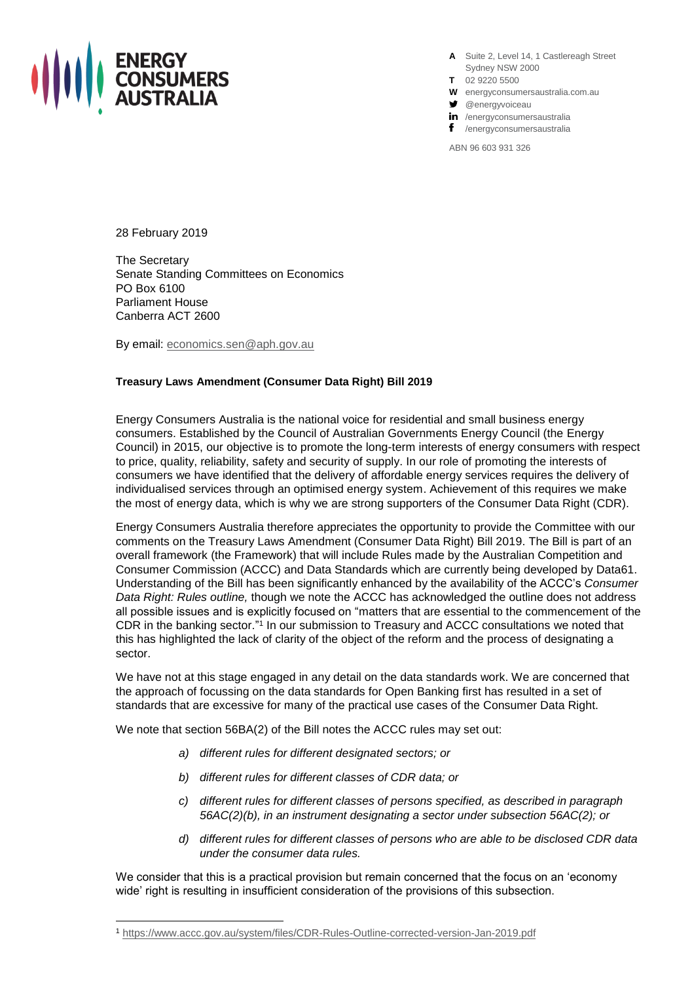

**A** Suite 2, Level 14, 1 Castlereagh Street Sydney NSW 2000

- **T** 02 9220 5500
- **W** energyconsumersaustralia.com.au
- $\bullet$  @energyvoiceau
- in /energyconsumersaustralia
- f /energyconsumersaustralia

ABN 96 603 931 326

28 February 2019

The Secretary Senate Standing Committees on Economics PO Box 6100 Parliament House Canberra ACT 2600

By email: [economics.sen@aph.gov.au](mailto:economics.sen@aph.gov.au)

### **Treasury Laws Amendment (Consumer Data Right) Bill 2019**

Energy Consumers Australia is the national voice for residential and small business energy consumers. Established by the Council of Australian Governments Energy Council (the Energy Council) in 2015, our objective is to promote the long-term interests of energy consumers with respect to price, quality, reliability, safety and security of supply. In our role of promoting the interests of consumers we have identified that the delivery of affordable energy services requires the delivery of individualised services through an optimised energy system. Achievement of this requires we make the most of energy data, which is why we are strong supporters of the Consumer Data Right (CDR).

Energy Consumers Australia therefore appreciates the opportunity to provide the Committee with our comments on the Treasury Laws Amendment (Consumer Data Right) Bill 2019. The Bill is part of an overall framework (the Framework) that will include Rules made by the Australian Competition and Consumer Commission (ACCC) and Data Standards which are currently being developed by Data61. Understanding of the Bill has been significantly enhanced by the availability of the ACCC's *Consumer Data Right: Rules outline,* though we note the ACCC has acknowledged the outline does not address all possible issues and is explicitly focused on "matters that are essential to the commencement of the CDR in the banking sector."<sup>1</sup> In our submission to Treasury and ACCC consultations we noted that this has highlighted the lack of clarity of the object of the reform and the process of designating a sector.

We have not at this stage engaged in any detail on the data standards work. We are concerned that the approach of focussing on the data standards for Open Banking first has resulted in a set of standards that are excessive for many of the practical use cases of the Consumer Data Right.

We note that section 56BA(2) of the Bill notes the ACCC rules may set out:

- *a) different rules for different designated sectors; or*
- *b) different rules for different classes of CDR data; or*
- *c) different rules for different classes of persons specified, as described in paragraph 56AC(2)(b), in an instrument designating a sector under subsection 56AC(2); or*
- *d) different rules for different classes of persons who are able to be disclosed CDR data under the consumer data rules.*

We consider that this is a practical provision but remain concerned that the focus on an 'economy wide' right is resulting in insufficient consideration of the provisions of this subsection.

<sup>1</sup> <https://www.accc.gov.au/system/files/CDR-Rules-Outline-corrected-version-Jan-2019.pdf>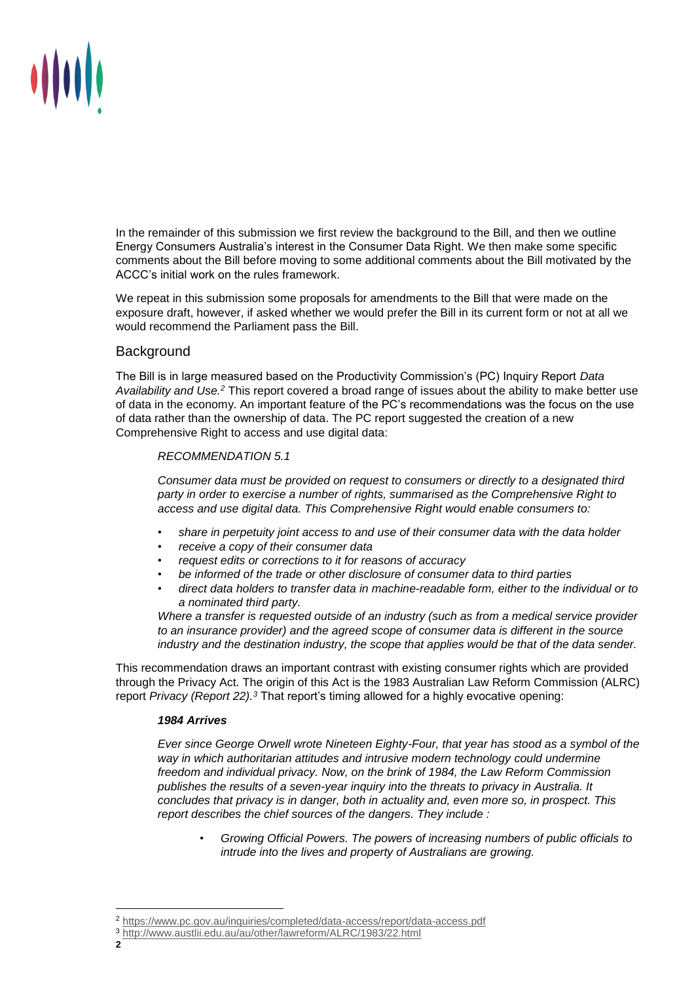

In the remainder of this submission we first review the background to the Bill, and then we outline Energy Consumers Australia's interest in the Consumer Data Right. We then make some specific comments about the Bill before moving to some additional comments about the Bill motivated by the ACCC's initial work on the rules framework.

We repeat in this submission some proposals for amendments to the Bill that were made on the exposure draft, however, if asked whether we would prefer the Bill in its current form or not at all we would recommend the Parliament pass the Bill.

# **Background**

The Bill is in large measured based on the Productivity Commission's (PC) Inquiry Report *Data Availability and Use.<sup>2</sup>* This report covered a broad range of issues about the ability to make better use of data in the economy. An important feature of the PC's recommendations was the focus on the use of data rather than the ownership of data. The PC report suggested the creation of a new Comprehensive Right to access and use digital data:

# *RECOMMENDATION 5.1*

*Consumer data must be provided on request to consumers or directly to a designated third party in order to exercise a number of rights, summarised as the Comprehensive Right to access and use digital data. This Comprehensive Right would enable consumers to:*

- *share in perpetuity joint access to and use of their consumer data with the data holder*
- *receive a copy of their consumer data*
- *request edits or corrections to it for reasons of accuracy*
- *be informed of the trade or other disclosure of consumer data to third parties*
- *direct data holders to transfer data in machine-readable form, either to the individual or to a nominated third party.*

*Where a transfer is requested outside of an industry (such as from a medical service provider to an insurance provider) and the agreed scope of consumer data is different in the source industry and the destination industry, the scope that applies would be that of the data sender.* 

This recommendation draws an important contrast with existing consumer rights which are provided through the Privacy Act. The origin of this Act is the 1983 Australian Law Reform Commission (ALRC) report *Privacy (Report 22).<sup>3</sup>* That report's timing allowed for a highly evocative opening:

# *1984 Arrives*

*Ever since George Orwell wrote Nineteen Eighty-Four, that year has stood as a symbol of the way in which authoritarian attitudes and intrusive modern technology could undermine freedom and individual privacy. Now, on the brink of 1984, the Law Reform Commission publishes the results of a seven-year inquiry into the threats to privacy in Australia. It concludes that privacy is in danger, both in actuality and, even more so, in prospect. This report describes the chief sources of the dangers. They include :*

• *Growing Official Powers. The powers of increasing numbers of public officials to intrude into the lives and property of Australians are growing.*

 $\overline{a}$ <sup>2</sup> <https://www.pc.gov.au/inquiries/completed/data-access/report/data-access.pdf>

<sup>3</sup> <http://www.austlii.edu.au/au/other/lawreform/ALRC/1983/22.html>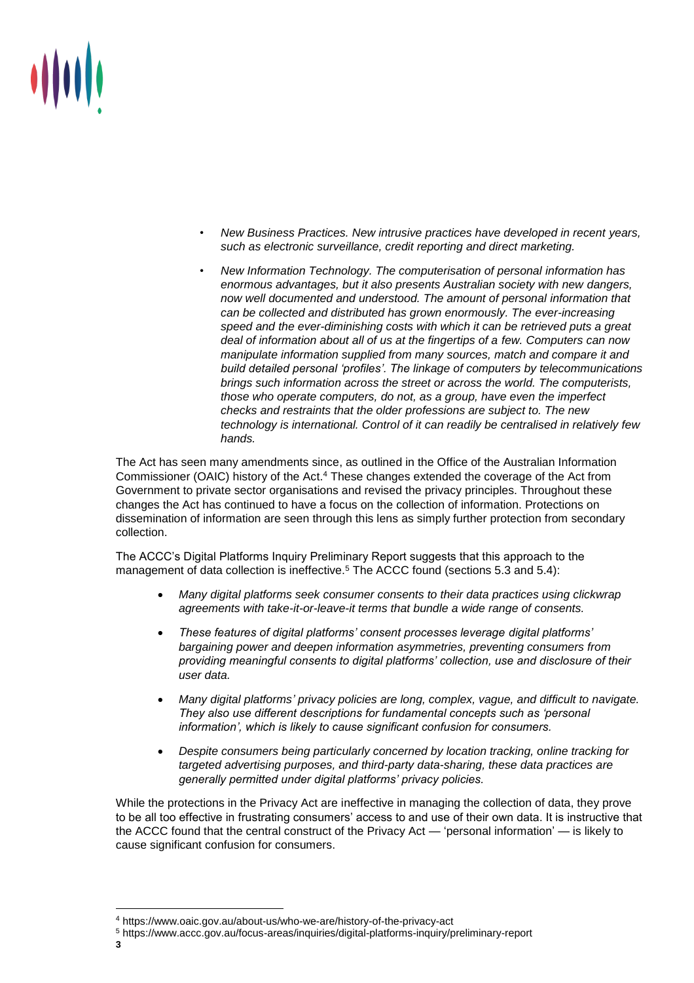

- *New Business Practices. New intrusive practices have developed in recent years, such as electronic surveillance, credit reporting and direct marketing.*
- *New Information Technology. The computerisation of personal information has enormous advantages, but it also presents Australian society with new dangers, now well documented and understood. The amount of personal information that can be collected and distributed has grown enormously. The ever-increasing speed and the ever-diminishing costs with which it can be retrieved puts a great deal of information about all of us at the fingertips of a few. Computers can now manipulate information supplied from many sources, match and compare it and build detailed personal 'profiles'. The linkage of computers by telecommunications brings such information across the street or across the world. The computerists, those who operate computers, do not, as a group, have even the imperfect checks and restraints that the older professions are subject to. The new technology is international. Control of it can readily be centralised in relatively few hands.*

The Act has seen many amendments since, as outlined in the Office of the Australian Information Commissioner (OAIC) history of the Act.<sup>4</sup> These changes extended the coverage of the Act from Government to private sector organisations and revised the privacy principles. Throughout these changes the Act has continued to have a focus on the collection of information. Protections on dissemination of information are seen through this lens as simply further protection from secondary collection.

The ACCC's Digital Platforms Inquiry Preliminary Report suggests that this approach to the management of data collection is ineffective.<sup>5</sup> The ACCC found (sections 5.3 and 5.4):

- *Many digital platforms seek consumer consents to their data practices using clickwrap agreements with take-it-or-leave-it terms that bundle a wide range of consents.*
- *These features of digital platforms' consent processes leverage digital platforms' bargaining power and deepen information asymmetries, preventing consumers from providing meaningful consents to digital platforms' collection, use and disclosure of their user data.*
- *Many digital platforms' privacy policies are long, complex, vague, and difficult to navigate. They also use different descriptions for fundamental concepts such as 'personal information', which is likely to cause significant confusion for consumers.*
- *Despite consumers being particularly concerned by location tracking, online tracking for targeted advertising purposes, and third-party data-sharing, these data practices are generally permitted under digital platforms' privacy policies.*

While the protections in the Privacy Act are ineffective in managing the collection of data, they prove to be all too effective in frustrating consumers' access to and use of their own data. It is instructive that the ACCC found that the central construct of the Privacy Act — 'personal information' — is likely to cause significant confusion for consumers.

 $\overline{a}$ 

<sup>4</sup> https://www.oaic.gov.au/about-us/who-we-are/history-of-the-privacy-act

<sup>5</sup> https://www.accc.gov.au/focus-areas/inquiries/digital-platforms-inquiry/preliminary-report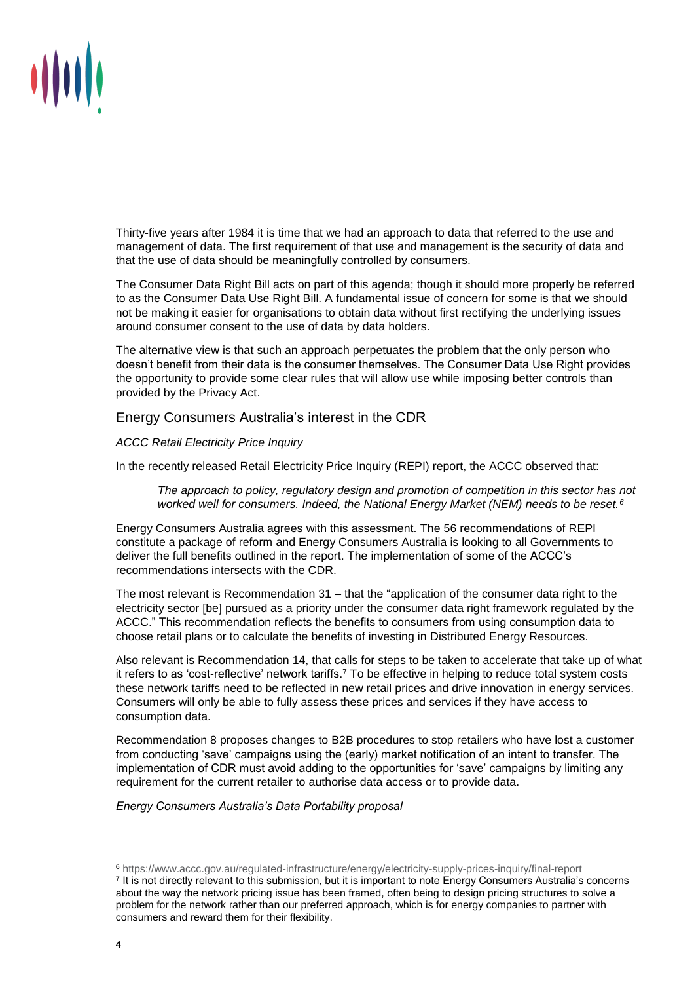

Thirty-five years after 1984 it is time that we had an approach to data that referred to the use and management of data. The first requirement of that use and management is the security of data and that the use of data should be meaningfully controlled by consumers.

The Consumer Data Right Bill acts on part of this agenda; though it should more properly be referred to as the Consumer Data Use Right Bill. A fundamental issue of concern for some is that we should not be making it easier for organisations to obtain data without first rectifying the underlying issues around consumer consent to the use of data by data holders.

The alternative view is that such an approach perpetuates the problem that the only person who doesn't benefit from their data is the consumer themselves. The Consumer Data Use Right provides the opportunity to provide some clear rules that will allow use while imposing better controls than provided by the Privacy Act.

Energy Consumers Australia's interest in the CDR

# *ACCC Retail Electricity Price Inquiry*

In the recently released Retail Electricity Price Inquiry (REPI) report, the ACCC observed that:

*The approach to policy, regulatory design and promotion of competition in this sector has not worked well for consumers. Indeed, the National Energy Market (NEM) needs to be reset.<sup>6</sup>*

Energy Consumers Australia agrees with this assessment. The 56 recommendations of REPI constitute a package of reform and Energy Consumers Australia is looking to all Governments to deliver the full benefits outlined in the report. The implementation of some of the ACCC's recommendations intersects with the CDR.

The most relevant is Recommendation 31 – that the "application of the consumer data right to the electricity sector [be] pursued as a priority under the consumer data right framework regulated by the ACCC." This recommendation reflects the benefits to consumers from using consumption data to choose retail plans or to calculate the benefits of investing in Distributed Energy Resources.

Also relevant is Recommendation 14, that calls for steps to be taken to accelerate that take up of what it refers to as 'cost-reflective' network tariffs.<sup>7</sup> To be effective in helping to reduce total system costs these network tariffs need to be reflected in new retail prices and drive innovation in energy services. Consumers will only be able to fully assess these prices and services if they have access to consumption data.

Recommendation 8 proposes changes to B2B procedures to stop retailers who have lost a customer from conducting 'save' campaigns using the (early) market notification of an intent to transfer. The implementation of CDR must avoid adding to the opportunities for 'save' campaigns by limiting any requirement for the current retailer to authorise data access or to provide data.

*Energy Consumers Australia's Data Portability proposal*

<sup>6</sup> <https://www.accc.gov.au/regulated-infrastructure/energy/electricity-supply-prices-inquiry/final-report> 7 It is not directly relevant to this submission, but it is important to note Energy Consumers Australia's concerns about the way the network pricing issue has been framed, often being to design pricing structures to solve a problem for the network rather than our preferred approach, which is for energy companies to partner with consumers and reward them for their flexibility.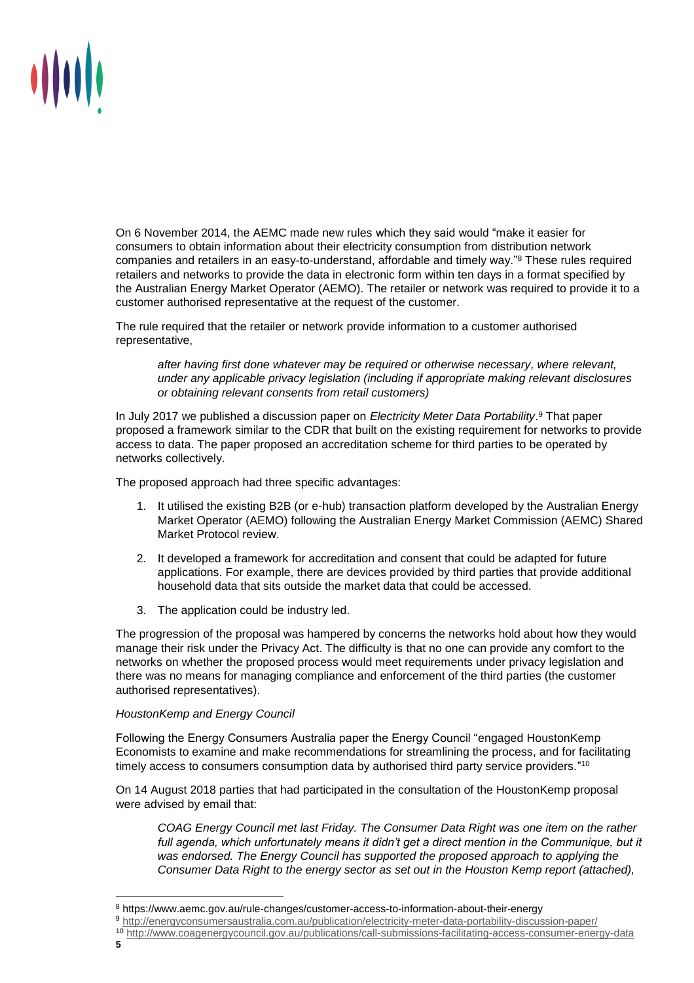

On 6 November 2014, the AEMC made new rules which they said would "make it easier for consumers to obtain information about their electricity consumption from distribution network companies and retailers in an easy-to-understand, affordable and timely way." <sup>8</sup> These rules required retailers and networks to provide the data in electronic form within ten days in a format specified by the Australian Energy Market Operator (AEMO). The retailer or network was required to provide it to a customer authorised representative at the request of the customer.

The rule required that the retailer or network provide information to a customer authorised representative,

*after having first done whatever may be required or otherwise necessary, where relevant, under any applicable privacy legislation (including if appropriate making relevant disclosures or obtaining relevant consents from retail customers)*

In July 2017 we published a discussion paper on *Electricity Meter Data Portability*. <sup>9</sup> That paper proposed a framework similar to the CDR that built on the existing requirement for networks to provide access to data. The paper proposed an accreditation scheme for third parties to be operated by networks collectively.

The proposed approach had three specific advantages:

- 1. It utilised the existing B2B (or e-hub) transaction platform developed by the Australian Energy Market Operator (AEMO) following the Australian Energy Market Commission (AEMC) Shared Market Protocol review.
- 2. It developed a framework for accreditation and consent that could be adapted for future applications. For example, there are devices provided by third parties that provide additional household data that sits outside the market data that could be accessed.
- 3. The application could be industry led.

The progression of the proposal was hampered by concerns the networks hold about how they would manage their risk under the Privacy Act. The difficulty is that no one can provide any comfort to the networks on whether the proposed process would meet requirements under privacy legislation and there was no means for managing compliance and enforcement of the third parties (the customer authorised representatives).

#### *HoustonKemp and Energy Council*

Following the Energy Consumers Australia paper the Energy Council "engaged HoustonKemp Economists to examine and make recommendations for streamlining the process, and for facilitating timely access to consumers consumption data by authorised third party service providers." 10

On 14 August 2018 parties that had participated in the consultation of the HoustonKemp proposal were advised by email that:

*COAG Energy Council met last Friday. The Consumer Data Right was one item on the rather*  full agenda, which unfortunately means it didn't get a direct mention in the Communique, but it *was endorsed. The Energy Council has supported the proposed approach to applying the Consumer Data Right to the energy sector as set out in the Houston Kemp report (attached),* 

<sup>8</sup> https://www.aemc.gov.au/rule-changes/customer-access-to-information-about-their-energy

<sup>9</sup> <http://energyconsumersaustralia.com.au/publication/electricity-meter-data-portability-discussion-paper/>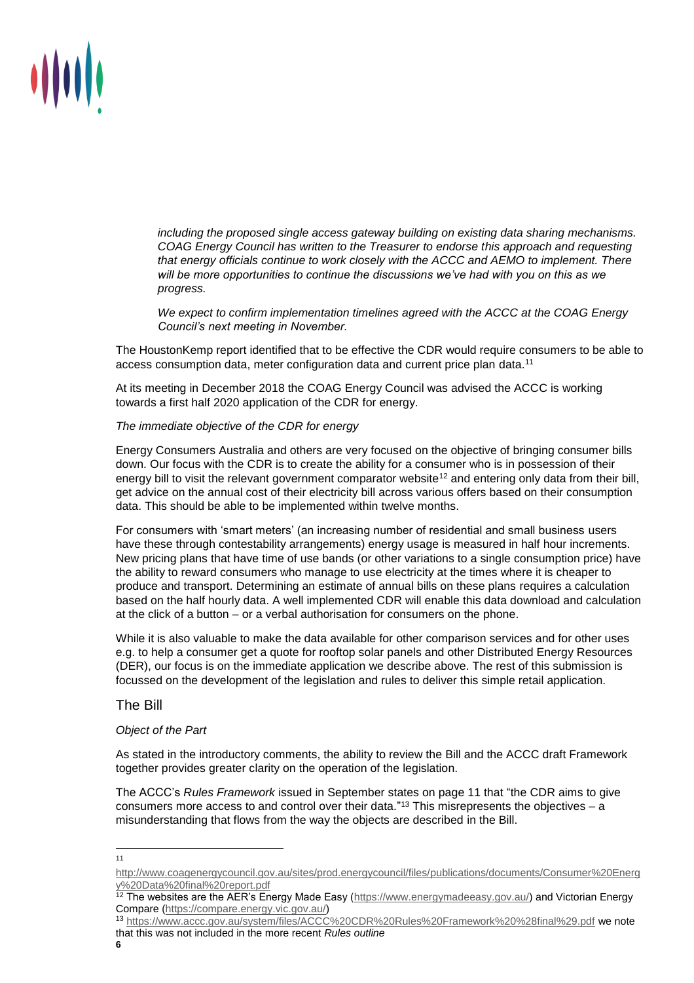

*including the proposed single access gateway building on existing data sharing mechanisms. COAG Energy Council has written to the Treasurer to endorse this approach and requesting that energy officials continue to work closely with the ACCC and AEMO to implement. There will be more opportunities to continue the discussions we've had with you on this as we progress.* 

*We expect to confirm implementation timelines agreed with the ACCC at the COAG Energy Council's next meeting in November.*

The HoustonKemp report identified that to be effective the CDR would require consumers to be able to access consumption data, meter configuration data and current price plan data.<sup>11</sup>

At its meeting in December 2018 the COAG Energy Council was advised the ACCC is working towards a first half 2020 application of the CDR for energy.

#### *The immediate objective of the CDR for energy*

Energy Consumers Australia and others are very focused on the objective of bringing consumer bills down. Our focus with the CDR is to create the ability for a consumer who is in possession of their energy bill to visit the relevant government comparator website<sup>12</sup> and entering only data from their bill, get advice on the annual cost of their electricity bill across various offers based on their consumption data. This should be able to be implemented within twelve months.

For consumers with 'smart meters' (an increasing number of residential and small business users have these through contestability arrangements) energy usage is measured in half hour increments. New pricing plans that have time of use bands (or other variations to a single consumption price) have the ability to reward consumers who manage to use electricity at the times where it is cheaper to produce and transport. Determining an estimate of annual bills on these plans requires a calculation based on the half hourly data. A well implemented CDR will enable this data download and calculation at the click of a button – or a verbal authorisation for consumers on the phone.

While it is also valuable to make the data available for other comparison services and for other uses e.g. to help a consumer get a quote for rooftop solar panels and other Distributed Energy Resources (DER), our focus is on the immediate application we describe above. The rest of this submission is focussed on the development of the legislation and rules to deliver this simple retail application.

The Bill

### *Object of the Part*

As stated in the introductory comments, the ability to review the Bill and the ACCC draft Framework together provides greater clarity on the operation of the legislation.

The ACCC's *Rules Framework* issued in September states on page 11 that "the CDR aims to give consumers more access to and control over their data."<sup>13</sup> This misrepresents the objectives  $-$  a misunderstanding that flows from the way the objects are described in the Bill.

[http://www.coagenergycouncil.gov.au/sites/prod.energycouncil/files/publications/documents/Consumer%20Energ](http://www.coagenergycouncil.gov.au/sites/prod.energycouncil/files/publications/documents/Consumer%20Energy%20Data%20final%20report.pdf) [y%20Data%20final%20report.pdf](http://www.coagenergycouncil.gov.au/sites/prod.energycouncil/files/publications/documents/Consumer%20Energy%20Data%20final%20report.pdf)

<sup>&</sup>lt;sup>12</sup> The websites are the AER's Energy Made Easy [\(https://www.energymadeeasy.gov.au/\)](https://www.energymadeeasy.gov.au/) and Victorian Energy Compare [\(https://compare.energy.vic.gov.au/\)](https://compare.energy.vic.gov.au/)

<sup>13</sup> <https://www.accc.gov.au/system/files/ACCC%20CDR%20Rules%20Framework%20%28final%29.pdf> we note that this was not included in the more recent *Rules outline*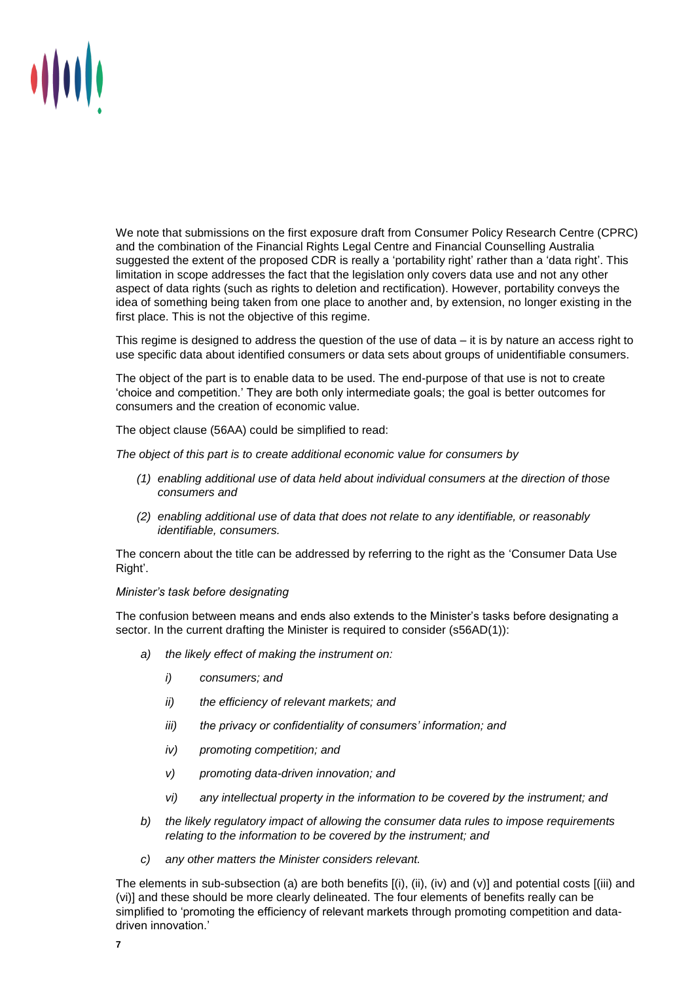

We note that submissions on the first exposure draft from Consumer Policy Research Centre (CPRC) and the combination of the Financial Rights Legal Centre and Financial Counselling Australia suggested the extent of the proposed CDR is really a 'portability right' rather than a 'data right'. This limitation in scope addresses the fact that the legislation only covers data use and not any other aspect of data rights (such as rights to deletion and rectification). However, portability conveys the idea of something being taken from one place to another and, by extension, no longer existing in the first place. This is not the objective of this regime.

This regime is designed to address the question of the use of data – it is by nature an access right to use specific data about identified consumers or data sets about groups of unidentifiable consumers.

The object of the part is to enable data to be used. The end-purpose of that use is not to create 'choice and competition.' They are both only intermediate goals; the goal is better outcomes for consumers and the creation of economic value.

The object clause (56AA) could be simplified to read:

*The object of this part is to create additional economic value for consumers by* 

- *(1) enabling additional use of data held about individual consumers at the direction of those consumers and*
- *(2) enabling additional use of data that does not relate to any identifiable, or reasonably identifiable, consumers.*

The concern about the title can be addressed by referring to the right as the 'Consumer Data Use Right'.

#### *Minister's task before designating*

The confusion between means and ends also extends to the Minister's tasks before designating a sector. In the current drafting the Minister is required to consider (s56AD(1)):

- *a) the likely effect of making the instrument on:* 
	- *i) consumers; and*
	- *ii) the efficiency of relevant markets; and*
	- *iii) the privacy or confidentiality of consumers' information; and*
	- *iv) promoting competition; and*
	- *v) promoting data-driven innovation; and*
	- *vi) any intellectual property in the information to be covered by the instrument; and*
- *b) the likely regulatory impact of allowing the consumer data rules to impose requirements relating to the information to be covered by the instrument; and*
- *c) any other matters the Minister considers relevant.*

The elements in sub-subsection (a) are both benefits [(i), (ii), (iv) and (v)] and potential costs [(iii) and (vi)] and these should be more clearly delineated. The four elements of benefits really can be simplified to 'promoting the efficiency of relevant markets through promoting competition and datadriven innovation.'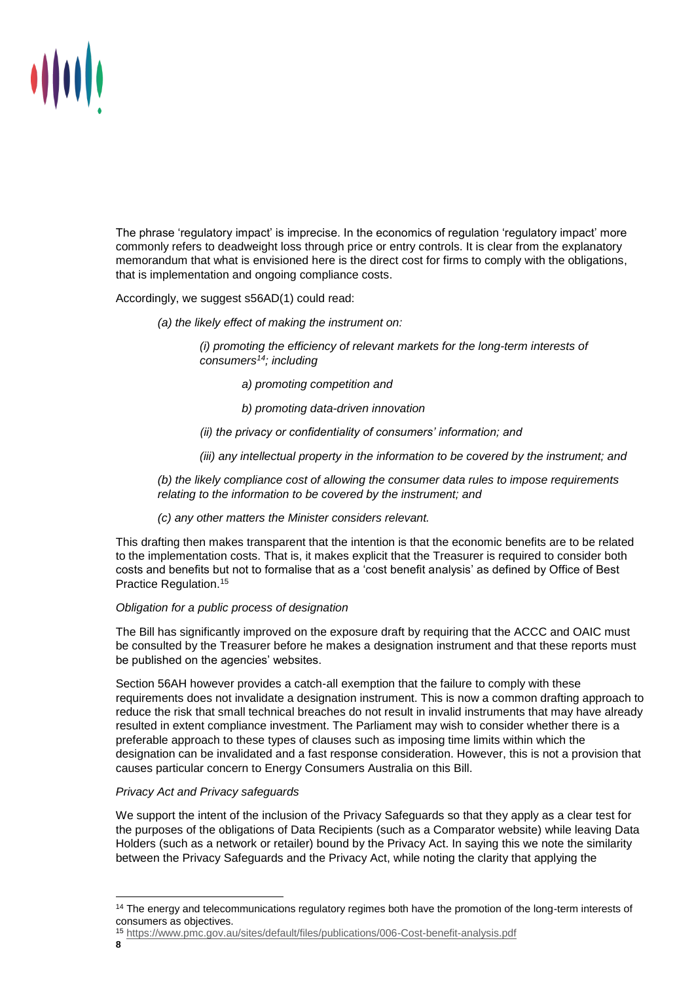

The phrase 'regulatory impact' is imprecise. In the economics of regulation 'regulatory impact' more commonly refers to deadweight loss through price or entry controls. It is clear from the explanatory memorandum that what is envisioned here is the direct cost for firms to comply with the obligations, that is implementation and ongoing compliance costs.

Accordingly, we suggest s56AD(1) could read:

*(a) the likely effect of making the instrument on:* 

*(i) promoting the efficiency of relevant markets for the long-term interests of consumers<sup>14</sup>; including*

- *a) promoting competition and*
- *b) promoting data-driven innovation*
- *(ii) the privacy or confidentiality of consumers' information; and*

*(iii) any intellectual property in the information to be covered by the instrument; and* 

*(b) the likely compliance cost of allowing the consumer data rules to impose requirements relating to the information to be covered by the instrument; and* 

*(c) any other matters the Minister considers relevant.*

This drafting then makes transparent that the intention is that the economic benefits are to be related to the implementation costs. That is, it makes explicit that the Treasurer is required to consider both costs and benefits but not to formalise that as a 'cost benefit analysis' as defined by Office of Best Practice Regulation.<sup>15</sup>

# *Obligation for a public process of designation*

The Bill has significantly improved on the exposure draft by requiring that the ACCC and OAIC must be consulted by the Treasurer before he makes a designation instrument and that these reports must be published on the agencies' websites.

Section 56AH however provides a catch-all exemption that the failure to comply with these requirements does not invalidate a designation instrument. This is now a common drafting approach to reduce the risk that small technical breaches do not result in invalid instruments that may have already resulted in extent compliance investment. The Parliament may wish to consider whether there is a preferable approach to these types of clauses such as imposing time limits within which the designation can be invalidated and a fast response consideration. However, this is not a provision that causes particular concern to Energy Consumers Australia on this Bill.

# *Privacy Act and Privacy safeguards*

We support the intent of the inclusion of the Privacy Safeguards so that they apply as a clear test for the purposes of the obligations of Data Recipients (such as a Comparator website) while leaving Data Holders (such as a network or retailer) bound by the Privacy Act. In saying this we note the similarity between the Privacy Safeguards and the Privacy Act, while noting the clarity that applying the

<sup>&</sup>lt;sup>14</sup> The energy and telecommunications regulatory regimes both have the promotion of the long-term interests of consumers as objectives.

<sup>15</sup> <https://www.pmc.gov.au/sites/default/files/publications/006-Cost-benefit-analysis.pdf>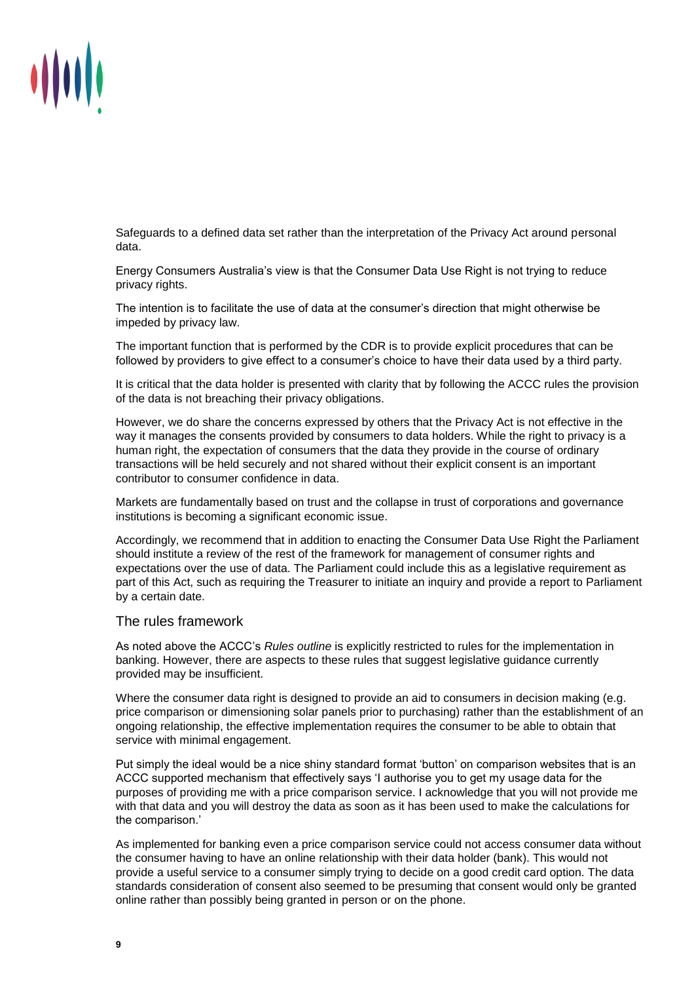

Safeguards to a defined data set rather than the interpretation of the Privacy Act around personal data.

Energy Consumers Australia's view is that the Consumer Data Use Right is not trying to reduce privacy rights.

The intention is to facilitate the use of data at the consumer's direction that might otherwise be impeded by privacy law.

The important function that is performed by the CDR is to provide explicit procedures that can be followed by providers to give effect to a consumer's choice to have their data used by a third party.

It is critical that the data holder is presented with clarity that by following the ACCC rules the provision of the data is not breaching their privacy obligations.

However, we do share the concerns expressed by others that the Privacy Act is not effective in the way it manages the consents provided by consumers to data holders. While the right to privacy is a human right, the expectation of consumers that the data they provide in the course of ordinary transactions will be held securely and not shared without their explicit consent is an important contributor to consumer confidence in data.

Markets are fundamentally based on trust and the collapse in trust of corporations and governance institutions is becoming a significant economic issue.

Accordingly, we recommend that in addition to enacting the Consumer Data Use Right the Parliament should institute a review of the rest of the framework for management of consumer rights and expectations over the use of data. The Parliament could include this as a legislative requirement as part of this Act, such as requiring the Treasurer to initiate an inquiry and provide a report to Parliament by a certain date.

## The rules framework

As noted above the ACCC's *Rules outline* is explicitly restricted to rules for the implementation in banking. However, there are aspects to these rules that suggest legislative guidance currently provided may be insufficient.

Where the consumer data right is designed to provide an aid to consumers in decision making (e.g. price comparison or dimensioning solar panels prior to purchasing) rather than the establishment of an ongoing relationship, the effective implementation requires the consumer to be able to obtain that service with minimal engagement.

Put simply the ideal would be a nice shiny standard format 'button' on comparison websites that is an ACCC supported mechanism that effectively says 'I authorise you to get my usage data for the purposes of providing me with a price comparison service. I acknowledge that you will not provide me with that data and you will destroy the data as soon as it has been used to make the calculations for the comparison.'

As implemented for banking even a price comparison service could not access consumer data without the consumer having to have an online relationship with their data holder (bank). This would not provide a useful service to a consumer simply trying to decide on a good credit card option. The data standards consideration of consent also seemed to be presuming that consent would only be granted online rather than possibly being granted in person or on the phone.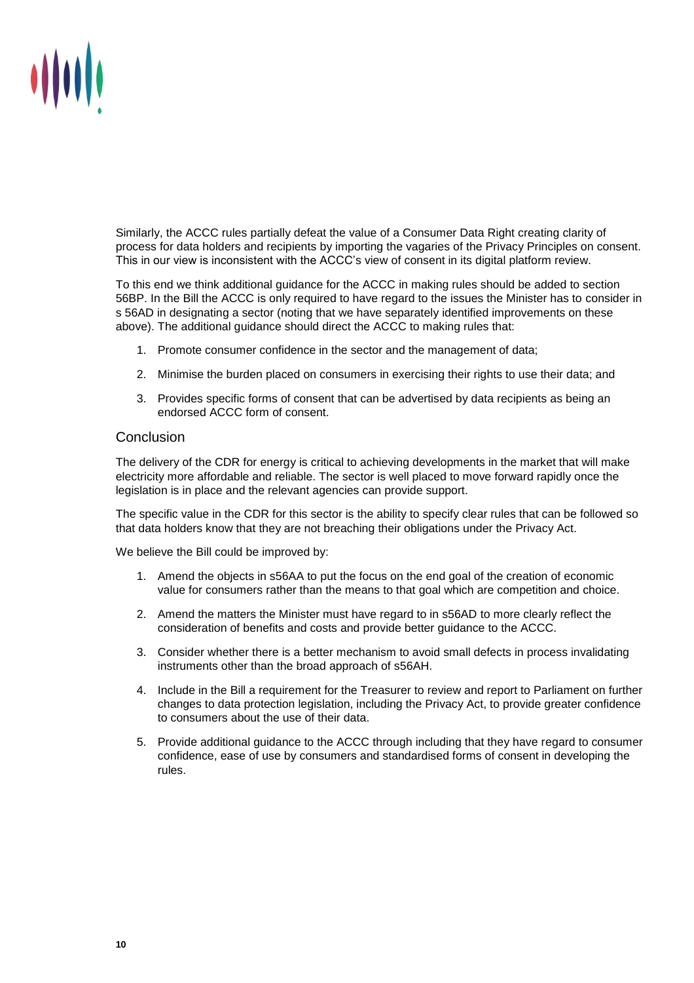

Similarly, the ACCC rules partially defeat the value of a Consumer Data Right creating clarity of process for data holders and recipients by importing the vagaries of the Privacy Principles on consent. This in our view is inconsistent with the ACCC's view of consent in its digital platform review.

To this end we think additional guidance for the ACCC in making rules should be added to section 56BP. In the Bill the ACCC is only required to have regard to the issues the Minister has to consider in s 56AD in designating a sector (noting that we have separately identified improvements on these above). The additional guidance should direct the ACCC to making rules that:

- 1. Promote consumer confidence in the sector and the management of data;
- 2. Minimise the burden placed on consumers in exercising their rights to use their data; and
- 3. Provides specific forms of consent that can be advertised by data recipients as being an endorsed ACCC form of consent.

# **Conclusion**

The delivery of the CDR for energy is critical to achieving developments in the market that will make electricity more affordable and reliable. The sector is well placed to move forward rapidly once the legislation is in place and the relevant agencies can provide support.

The specific value in the CDR for this sector is the ability to specify clear rules that can be followed so that data holders know that they are not breaching their obligations under the Privacy Act.

We believe the Bill could be improved by:

- 1. Amend the objects in s56AA to put the focus on the end goal of the creation of economic value for consumers rather than the means to that goal which are competition and choice.
- 2. Amend the matters the Minister must have regard to in s56AD to more clearly reflect the consideration of benefits and costs and provide better guidance to the ACCC.
- 3. Consider whether there is a better mechanism to avoid small defects in process invalidating instruments other than the broad approach of s56AH.
- 4. Include in the Bill a requirement for the Treasurer to review and report to Parliament on further changes to data protection legislation, including the Privacy Act, to provide greater confidence to consumers about the use of their data.
- 5. Provide additional guidance to the ACCC through including that they have regard to consumer confidence, ease of use by consumers and standardised forms of consent in developing the rules.